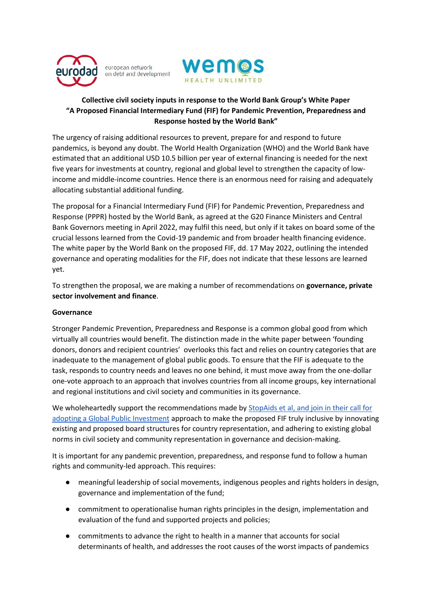

european network on debt and development



# **Collective civil society inputs in response to the World Bank Group's White Paper "A Proposed Financial Intermediary Fund (FIF) for Pandemic Prevention, Preparedness and Response hosted by the World Bank"**

The urgency of raising additional resources to prevent, prepare for and respond to future pandemics, is beyond any doubt. The World Health Organization (WHO) and the World Bank have estimated that an additional USD 10.5 billion per year of external financing is needed for the next five years for investments at country, regional and global level to strengthen the capacity of lowincome and middle-income countries. Hence there is an enormous need for raising and adequately allocating substantial additional funding.

The proposal for a Financial Intermediary Fund (FIF) for Pandemic Prevention, Preparedness and Response (PPPR) hosted by the World Bank, as agreed at the G20 Finance Ministers and Central Bank Governors meeting in April 2022, may fulfil this need, but only if it takes on board some of the crucial lessons learned from the Covid-19 pandemic and from broader health financing evidence. The white paper by the World Bank on the proposed FIF, dd. 17 May 2022, outlining the intended governance and operating modalities for the FIF, does not indicate that these lessons are learned yet.

To strengthen the proposal, we are making a number of recommendations on **governance, private sector involvement and finance**.

## **Governance**

Stronger Pandemic Prevention, Preparedness and Response is a common global good from which virtually all countries would benefit. The distinction made in the white paper between 'founding donors, donors and recipient countries' overlooks this fact and relies on country categories that are inadequate to the management of global public goods. To ensure that the FIF is adequate to the task, responds to country needs and leaves no one behind, it must move away from the one-dollar one-vote approach to an approach that involves countries from all income groups, key international and regional institutions and civil society and communities in its governance.

We wholeheartedly support the recommendations made by StopAids et al, and join in their call for [adopting a Global Public Investment](https://stopaids.org.uk/2022/05/27/recommendations-for-the-financial-intermediary-fund-fif-for-pandemic-prevention-preparedness-and-response-ppr/) approach to make the proposed FIF truly inclusive by innovating existing and proposed board structures for country representation, and adhering to existing global norms in civil society and community representation in governance and decision-making.

It is important for any pandemic prevention, preparedness, and response fund to follow a human rights and community-led approach. This requires:

- meaningful leadership of social movements, indigenous peoples and rights holders in design, governance and implementation of the fund;
- commitment to operationalise human rights principles in the design, implementation and evaluation of the fund and supported projects and policies;
- commitments to advance the right to health in a manner that accounts for social determinants of health, and addresses the root causes of the worst impacts of pandemics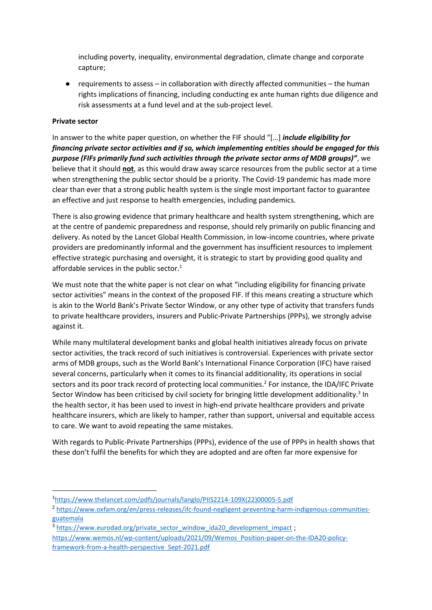including poverty, inequality, environmental degradation, climate change and corporate capture;

● requirements to assess – in collaboration with directly affected communities – the human rights implications of financing, including conducting ex ante human rights due diligence and risk assessments at a fund level and at the sub-project level.

### **Private sector**

In answer to the white paper question, on whether the FIF should "[…] *include eligibility for financing private sector activities and if so, which implementing entities should be engaged for this purpose (FIFs primarily fund such activities through the private sector arms of MDB groups)"*, we believe that it should **not**, as this would draw away scarce resources from the public sector at a time when strengthening the public sector should be a priority. The Covid-19 pandemic has made more clear than ever that a strong public health system is the single most important factor to guarantee an effective and just response to health emergencies, including pandemics.

There is also growing evidence that primary healthcare and health system strengthening, which are at the centre of pandemic preparedness and response, should rely primarily on public financing and delivery. As noted by the Lancet Global Health Commission, in low-income countries, where private providers are predominantly informal and the government has insufficient resources to implement effective strategic purchasing and oversight, it is strategic to start by providing good quality and affordable services in the public sector. $1$ 

We must note that the white paper is not clear on what "including eligibility for financing private sector activities" means in the context of the proposed FIF. If this means creating a structure which is akin to the World Bank's Private Sector Window, or any other type of activity that transfers funds to private healthcare providers, insurers and Public-Private Partnerships (PPPs), we strongly advise against it.

While many multilateral development banks and global health initiatives already focus on private sector activities, the track record of such initiatives is controversial. Experiences with private sector arms of MDB groups, such as the World Bank's International Finance Corporation (IFC) have raised several concerns, particularly when it comes to its financial additionality, its operations in social sectors and its poor track record of protecting local communities.<sup>2</sup> For instance, the IDA/IFC Private Sector Window has been criticised by civil society for bringing little development additionality.<sup>3</sup> In the health sector, it has been used to invest in high-end private healthcare providers and private healthcare insurers, which are likely to hamper, rather than support, universal and equitable access to care. We want to avoid repeating the same mistakes.

With regards to Public-Private Partnerships (PPPs), evidence of the use of PPPs in health shows that these don't fulfil the benefits for which they are adopted and are often far more expensive for

- <sup>2</sup> [https://www.oxfam.org/en/press-releases/ifc-found-negligent-preventing-harm-indigenous-communities](https://www.oxfam.org/en/press-releases/ifc-found-negligent-preventing-harm-indigenous-communities-guatemala)[guatemala](https://www.oxfam.org/en/press-releases/ifc-found-negligent-preventing-harm-indigenous-communities-guatemala)
- <sup>3</sup> [https://www.eurodad.org/private\\_sector\\_window\\_ida20\\_development\\_impact](https://www.eurodad.org/private_sector_window_ida20_development_impact);
- [https://www.wemos.nl/wp-content/uploads/2021/09/Wemos\\_Position-paper-on-the-IDA20-policy](https://www.wemos.nl/wp-content/uploads/2021/09/Wemos_Position-paper-on-the-IDA20-policy-framework-from-a-health-perspective_Sept-2021.pdf)[framework-from-a-health-perspective\\_Sept-2021.pdf](https://www.wemos.nl/wp-content/uploads/2021/09/Wemos_Position-paper-on-the-IDA20-policy-framework-from-a-health-perspective_Sept-2021.pdf)

<sup>1</sup> [https://www.thelancet.com/pdfs/journals/langlo/PIIS2214-109X\(22\)00005-5.pdf](https://www.thelancet.com/pdfs/journals/langlo/PIIS2214-109X(22)00005-5.pdf)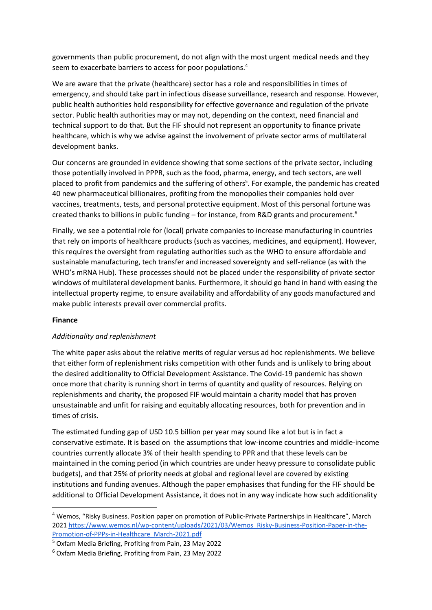governments than public procurement, do not align with the most urgent medical needs and they seem to exacerbate barriers to access for poor populations.<sup>4</sup>

We are aware that the private (healthcare) sector has a role and responsibilities in times of emergency, and should take part in infectious disease surveillance, research and response. However, public health authorities hold responsibility for effective governance and regulation of the private sector. Public health authorities may or may not, depending on the context, need financial and technical support to do that. But the FIF should not represent an opportunity to finance private healthcare, which is why we advise against the involvement of private sector arms of multilateral development banks.

Our concerns are grounded in evidence showing that some sections of the private sector, including those potentially involved in PPPR, such as the food, pharma, energy, and tech sectors, are well placed to profit from pandemics and the suffering of others<sup>5</sup>. For example, the pandemic has created 40 new pharmaceutical billionaires, profiting from the monopolies their companies hold over vaccines, treatments, tests, and personal protective equipment. Most of this personal fortune was created thanks to billions in public funding – for instance, from R&D grants and procurement.<sup>6</sup>

Finally, we see a potential role for (local) private companies to increase manufacturing in countries that rely on imports of healthcare products (such as vaccines, medicines, and equipment). However, this requires the oversight from regulating authorities such as the WHO to ensure affordable and sustainable manufacturing, tech transfer and increased sovereignty and self-reliance (as with the WHO's mRNA Hub). These processes should not be placed under the responsibility of private sector windows of multilateral development banks. Furthermore, it should go hand in hand with easing the intellectual property regime, to ensure availability and affordability of any goods manufactured and make public interests prevail over commercial profits.

#### **Finance**

#### *Additionality and replenishment*

The white paper asks about the relative merits of regular versus ad hoc replenishments. We believe that either form of replenishment risks competition with other funds and is unlikely to bring about the desired additionality to Official Development Assistance. The Covid-19 pandemic has shown once more that charity is running short in terms of quantity and quality of resources. Relying on replenishments and charity, the proposed FIF would maintain a charity model that has proven unsustainable and unfit for raising and equitably allocating resources, both for prevention and in times of crisis.

The estimated funding gap of USD 10.5 billion per year may sound like a lot but is in fact a conservative estimate. It is based on the assumptions that low-income countries and middle-income countries currently allocate 3% of their health spending to PPR and that these levels can be maintained in the coming period (in which countries are under heavy pressure to consolidate public budgets), and that 25% of priority needs at global and regional level are covered by existing institutions and funding avenues. Although the paper emphasises that funding for the FIF should be additional to Official Development Assistance, it does not in any way indicate how such additionality

<sup>4</sup> Wemos, "Risky Business. Position paper on promotion of Public-Private Partnerships in Healthcare", March 202[1 https://www.wemos.nl/wp-content/uploads/2021/03/Wemos\\_Risky-Business-Position-Paper-in-the-](https://www.wemos.nl/wp-content/uploads/2021/03/Wemos_Risky-Business-Position-Paper-in-the-Promotion-of-PPPs-in-Healthcare_March-2021.pdf)[Promotion-of-PPPs-in-Healthcare\\_March-2021.pdf](https://www.wemos.nl/wp-content/uploads/2021/03/Wemos_Risky-Business-Position-Paper-in-the-Promotion-of-PPPs-in-Healthcare_March-2021.pdf)

<sup>5</sup> Oxfam Media Briefing, Profiting from Pain, 23 May 2022

<sup>6</sup> Oxfam Media Briefing, Profiting from Pain, 23 May 2022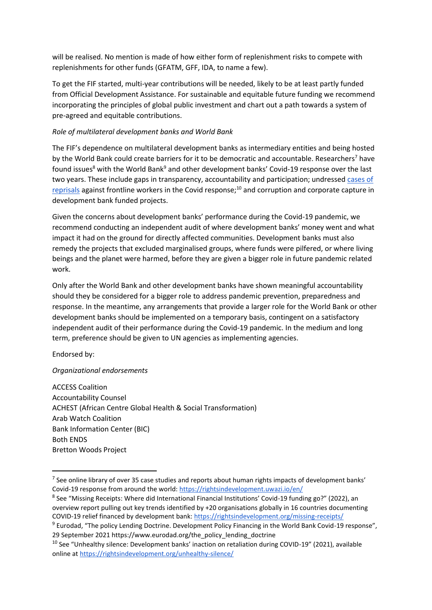will be realised. No mention is made of how either form of replenishment risks to compete with replenishments for other funds (GFATM, GFF, IDA, to name a few).

To get the FIF started, multi-year contributions will be needed, likely to be at least partly funded from Official Development Assistance. For sustainable and equitable future funding we recommend incorporating the principles of global public investment and chart out a path towards a system of pre-agreed and equitable contributions.

## *Role of multilateral development banks and World Bank*

The FIF's dependence on multilateral development banks as intermediary entities and being hosted by the World Bank could create barriers for it to be democratic and accountable. Researchers<sup>7</sup> have found issues<sup>8</sup> with the World Bank<sup>9</sup> and other development banks' Covid-19 response over the last two years. These include gaps in transparency, accountability and participation; undresse[d cases of](https://rightsindevelopment.org/unhealthy-silence/)  [reprisals](https://rightsindevelopment.org/unhealthy-silence/) against frontline workers in the Covid response;<sup>10</sup> and corruption and corporate capture in development bank funded projects.

Given the concerns about development banks' performance during the Covid-19 pandemic, we recommend conducting an independent audit of where development banks' money went and what impact it had on the ground for directly affected communities. Development banks must also remedy the projects that excluded marginalised groups, where funds were pilfered, or where living beings and the planet were harmed, before they are given a bigger role in future pandemic related work.

Only after the World Bank and other development banks have shown meaningful accountability should they be considered for a bigger role to address pandemic prevention, preparedness and response. In the meantime, any arrangements that provide a larger role for the World Bank or other development banks should be implemented on a temporary basis, contingent on a satisfactory independent audit of their performance during the Covid-19 pandemic. In the medium and long term, preference should be given to UN agencies as implementing agencies.

Endorsed by:

## *Organizational endorsements*

ACCESS Coalition Accountability Counsel ACHEST (African Centre Global Health & Social Transformation) Arab Watch Coalition Bank Information Center (BIC) Both ENDS Bretton Woods Project

 $<sup>7</sup>$  See online library of over 35 case studies and reports about human rights impacts of development banks'</sup> Covid-19 response from around the world:<https://rightsindevelopment.uwazi.io/en/>

<sup>&</sup>lt;sup>8</sup> See "Missing Receipts: Where did International Financial Institutions' Covid-19 funding go?" (2022), an overview report pulling out key trends identified by +20 organisations globally in 16 countries documenting COVID-19 relief financed by development bank[: https://rightsindevelopment.org/missing-receipts/](https://rightsindevelopment.org/missing-receipts/)

<sup>&</sup>lt;sup>9</sup> Eurodad, "The policy Lending Doctrine. Development Policy Financing in the World Bank Covid-19 response", 29 September 2021 https://www.eurodad.org/the\_policy\_lending\_doctrine

<sup>&</sup>lt;sup>10</sup> See "Unhealthy silence: Development banks' inaction on retaliation during COVID-19" (2021), available online at<https://rightsindevelopment.org/unhealthy-silence/>